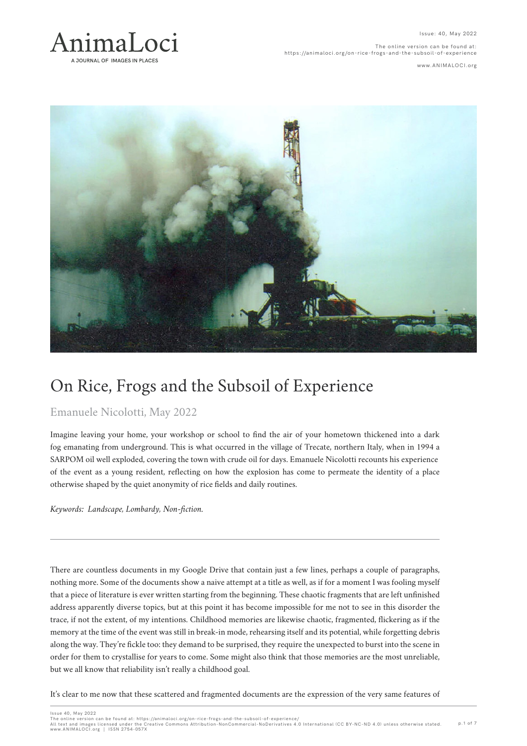Issue: 40, May 2022

The online version can be found at: https://animaloci.org/on-rice-frogs-and-the-subsoil-of-experience



www.ANIMALOCI.org



## On Rice, Frogs and the Subsoil of Experience

Emanuele Nicolotti, May 2022

Imagine leaving your home, your workshop or school to find the air of your hometown thickened into a dark fog emanating from underground. This is what occurred in the village of Trecate, northern Italy, when in 1994 a SARPOM oil well exploded, covering the town with crude oil for days. Emanuele Nicolotti recounts his experience of the event as a young resident, reflecting on how the explosion has come to permeate the identity of a place otherwise shaped by the quiet anonymity of rice fields and daily routines.

*Keywords: Landscape, Lombardy, Non-fiction.*

There are countless documents in my Google Drive that contain just a few lines, perhaps a couple of paragraphs, nothing more. Some of the documents show a naive attempt at a title as well, as if for a moment I was fooling myself that a piece of literature is ever written starting from the beginning. These chaotic fragments that are left unfinished address apparently diverse topics, but at this point it has become impossible for me not to see in this disorder the trace, if not the extent, of my intentions. Childhood memories are likewise chaotic, fragmented, flickering as if the memory at the time of the event was still in break-in mode, rehearsing itself and its potential, while forgetting debris along the way. They're fickle too: they demand to be surprised, they require the unexpected to burst into the scene in order for them to crystallise for years to come. Some might also think that those memories are the most unreliable, but we all know that reliability isn't really a childhood goal.

It's clear to me now that these scattered and fragmented documents are the expression of the very same features of

lssue 40, May 2022<br>The online version can be found at: https://animaloci.org/on-rice-frogs-and-the-subsoil-of-experience/<br>All text and images licensed under the Creative Commons Attribution-NonCommercial-NoDerivatives 4.0 p.1 of 7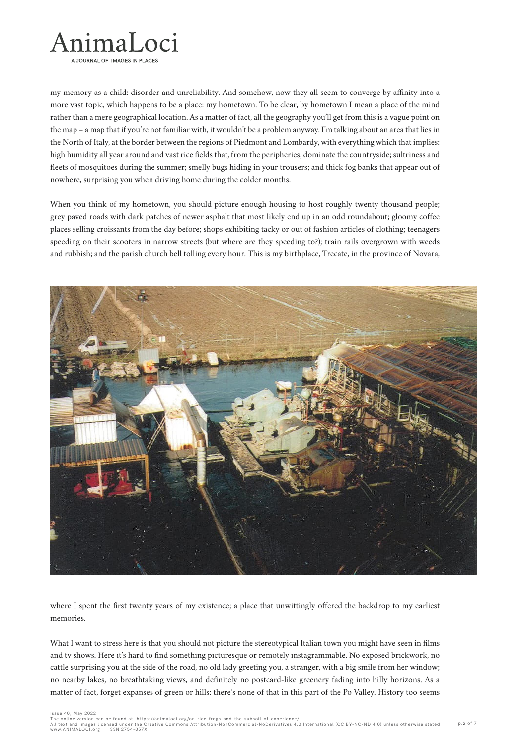

my memory as a child: disorder and unreliability. And somehow, now they all seem to converge by affinity into a more vast topic, which happens to be a place: my hometown. To be clear, by hometown I mean a place of the mind rather than a mere geographical location. As a matter of fact, all the geography you'll get from this is a vague point on the map – a map that if you're not familiar with, it wouldn't be a problem anyway. I'm talking about an area that lies in the North of Italy, at the border between the regions of Piedmont and Lombardy, with everything which that implies: high humidity all year around and vast rice fields that, from the peripheries, dominate the countryside; sultriness and fleets of mosquitoes during the summer; smelly bugs hiding in your trousers; and thick fog banks that appear out of nowhere, surprising you when driving home during the colder months.

When you think of my hometown, you should picture enough housing to host roughly twenty thousand people; grey paved roads with dark patches of newer asphalt that most likely end up in an odd roundabout; gloomy coffee places selling croissants from the day before; shops exhibiting tacky or out of fashion articles of clothing; teenagers speeding on their scooters in narrow streets (but where are they speeding to?); train rails overgrown with weeds and rubbish; and the parish church bell tolling every hour. This is my birthplace, Trecate, in the province of Novara,



where I spent the first twenty years of my existence; a place that unwittingly offered the backdrop to my earliest memories.

What I want to stress here is that you should not picture the stereotypical Italian town you might have seen in films and tv shows. Here it's hard to find something picturesque or remotely instagrammable. No exposed brickwork, no cattle surprising you at the side of the road, no old lady greeting you, a stranger, with a big smile from her window; no nearby lakes, no breathtaking views, and definitely no postcard-like greenery fading into hilly horizons. As a matter of fact, forget expanses of green or hills: there's none of that in this part of the Po Valley. History too seems

Issue 40, May 2022

The online version can be found at: https://animaloci.org/on-rice-frogs-and-the-subsoil-of-experience/<br>All text and images licensed under the Creative Commons Attribution-NonCommercial-NoDerivatives 4.0 International (CC B Issue 40, may 2022<br>The online version can be found at: https<br>All text and images licensed under the C<br>www.ANIMALOCI.org | ISSN 2754-057X p.2 of 7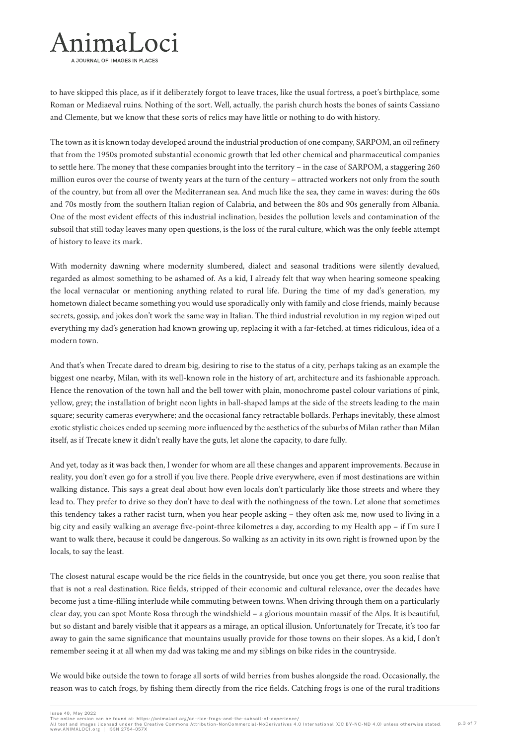

to have skipped this place, as if it deliberately forgot to leave traces, like the usual fortress, a poet's birthplace, some Roman or Mediaeval ruins. Nothing of the sort. Well, actually, the parish church hosts the bones of saints Cassiano and Clemente, but we know that these sorts of relics may have little or nothing to do with history.

The town as it is known today developed around the industrial production of one company, SARPOM, an oil refinery that from the 1950s promoted substantial economic growth that led other chemical and pharmaceutical companies to settle here. The money that these companies brought into the territory – in the case of SARPOM, a staggering 260 million euros over the course of twenty years at the turn of the century – attracted workers not only from the south of the country, but from all over the Mediterranean sea. And much like the sea, they came in waves: during the 60s and 70s mostly from the southern Italian region of Calabria, and between the 80s and 90s generally from Albania. One of the most evident effects of this industrial inclination, besides the pollution levels and contamination of the subsoil that still today leaves many open questions, is the loss of the rural culture, which was the only feeble attempt of history to leave its mark.

With modernity dawning where modernity slumbered, dialect and seasonal traditions were silently devalued, regarded as almost something to be ashamed of. As a kid, I already felt that way when hearing someone speaking the local vernacular or mentioning anything related to rural life. During the time of my dad's generation, my hometown dialect became something you would use sporadically only with family and close friends, mainly because secrets, gossip, and jokes don't work the same way in Italian. The third industrial revolution in my region wiped out everything my dad's generation had known growing up, replacing it with a far-fetched, at times ridiculous, idea of a modern town.

And that's when Trecate dared to dream big, desiring to rise to the status of a city, perhaps taking as an example the biggest one nearby, Milan, with its well-known role in the history of art, architecture and its fashionable approach. Hence the renovation of the town hall and the bell tower with plain, monochrome pastel colour variations of pink, yellow, grey; the installation of bright neon lights in ball-shaped lamps at the side of the streets leading to the main square; security cameras everywhere; and the occasional fancy retractable bollards. Perhaps inevitably, these almost exotic stylistic choices ended up seeming more influenced by the aesthetics of the suburbs of Milan rather than Milan itself, as if Trecate knew it didn't really have the guts, let alone the capacity, to dare fully.

And yet, today as it was back then, I wonder for whom are all these changes and apparent improvements. Because in reality, you don't even go for a stroll if you live there. People drive everywhere, even if most destinations are within walking distance. This says a great deal about how even locals don't particularly like those streets and where they lead to. They prefer to drive so they don't have to deal with the nothingness of the town. Let alone that sometimes this tendency takes a rather racist turn, when you hear people asking – they often ask me, now used to living in a big city and easily walking an average five-point-three kilometres a day, according to my Health app – if I'm sure I want to walk there, because it could be dangerous. So walking as an activity in its own right is frowned upon by the locals, to say the least.

The closest natural escape would be the rice fields in the countryside, but once you get there, you soon realise that that is not a real destination. Rice fields, stripped of their economic and cultural relevance, over the decades have become just a time-filling interlude while commuting between towns. When driving through them on a particularly clear day, you can spot Monte Rosa through the windshield – a glorious mountain massif of the Alps. It is beautiful, but so distant and barely visible that it appears as a mirage, an optical illusion. Unfortunately for Trecate, it's too far away to gain the same significance that mountains usually provide for those towns on their slopes. As a kid, I don't remember seeing it at all when my dad was taking me and my siblings on bike rides in the countryside.

We would bike outside the town to forage all sorts of wild berries from bushes alongside the road. Occasionally, the reason was to catch frogs, by fishing them directly from the rice fields. Catching frogs is one of the rural traditions

Issue 40, May 2022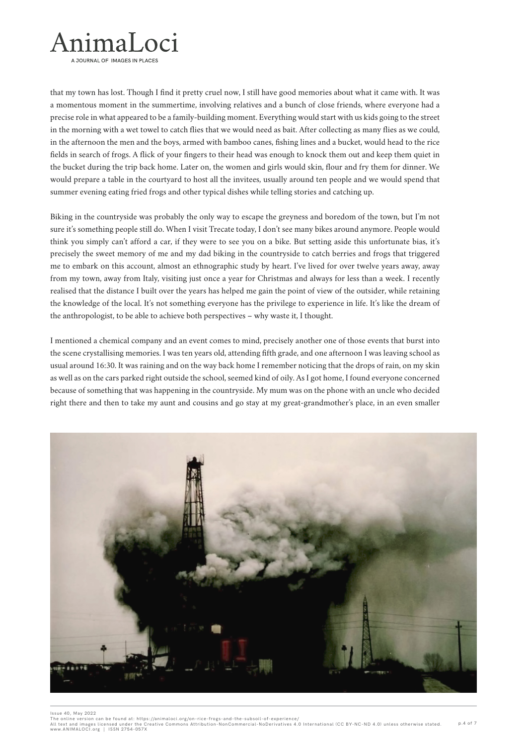

that my town has lost. Though I find it pretty cruel now, I still have good memories about what it came with. It was a momentous moment in the summertime, involving relatives and a bunch of close friends, where everyone had a precise role in what appeared to be a family-building moment. Everything would start with us kids going to the street in the morning with a wet towel to catch flies that we would need as bait. After collecting as many flies as we could, in the afternoon the men and the boys, armed with bamboo canes, fishing lines and a bucket, would head to the rice fields in search of frogs. A flick of your fingers to their head was enough to knock them out and keep them quiet in the bucket during the trip back home. Later on, the women and girls would skin, flour and fry them for dinner. We would prepare a table in the courtyard to host all the invitees, usually around ten people and we would spend that summer evening eating fried frogs and other typical dishes while telling stories and catching up.

Biking in the countryside was probably the only way to escape the greyness and boredom of the town, but I'm not sure it's something people still do. When I visit Trecate today, I don't see many bikes around anymore. People would think you simply can't afford a car, if they were to see you on a bike. But setting aside this unfortunate bias, it's precisely the sweet memory of me and my dad biking in the countryside to catch berries and frogs that triggered me to embark on this account, almost an ethnographic study by heart. I've lived for over twelve years away, away from my town, away from Italy, visiting just once a year for Christmas and always for less than a week. I recently realised that the distance I built over the years has helped me gain the point of view of the outsider, while retaining the knowledge of the local. It's not something everyone has the privilege to experience in life. It's like the dream of the anthropologist, to be able to achieve both perspectives – why waste it, I thought.

I mentioned a chemical company and an event comes to mind, precisely another one of those events that burst into the scene crystallising memories. I was ten years old, attending fifth grade, and one afternoon I was leaving school as usual around 16:30. It was raining and on the way back home I remember noticing that the drops of rain, on my skin as well as on the cars parked right outside the school, seemed kind of oily. As I got home, I found everyone concerned because of something that was happening in the countryside. My mum was on the phone with an uncle who decided right there and then to take my aunt and cousins and go stay at my great-grandmother's place, in an even smaller



Issue 40, May 2022

The online version can be found at: https://animaloci.org/on-rice-frogs-and-the-subsoil-of-experience/<br>All text and images licensed under the Creative Commons Attribution-NonCommercial-NoDerivatives 4.0 International (CC B p.4 of 7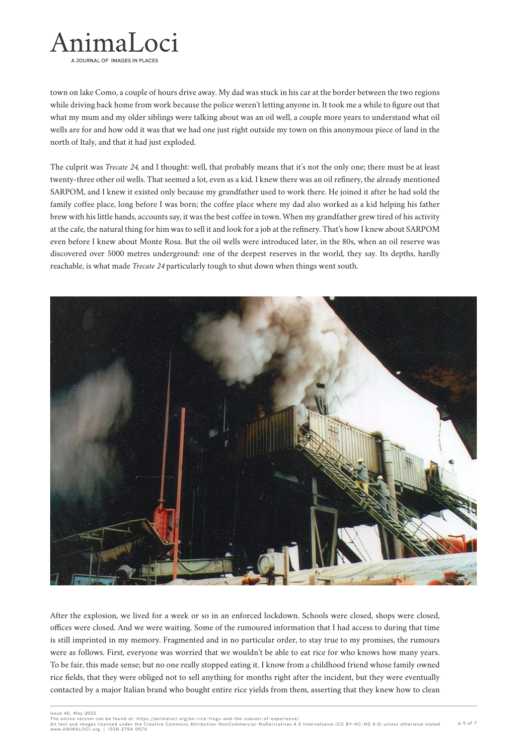

town on lake Como, a couple of hours drive away. My dad was stuck in his car at the border between the two regions while driving back home from work because the police weren't letting anyone in. It took me a while to figure out that what my mum and my older siblings were talking about was an oil well, a couple more years to understand what oil wells are for and how odd it was that we had one just right outside my town on this anonymous piece of land in the north of Italy, and that it had just exploded.

The culprit was *Trecate 24*, and I thought: well, that probably means that it's not the only one; there must be at least twenty-three other oil wells. That seemed a lot, even as a kid. I knew there was an oil refinery, the already mentioned SARPOM, and I knew it existed only because my grandfather used to work there. He joined it after he had sold the family coffee place, long before I was born; the coffee place where my dad also worked as a kid helping his father brew with his little hands, accounts say, it was the best coffee in town. When my grandfather grew tired of his activity at the cafe, the natural thing for him was to sell it and look for a job at the refinery. That's how I knew about SARPOM even before I knew about Monte Rosa. But the oil wells were introduced later, in the 80s, when an oil reserve was discovered over 5000 metres underground: one of the deepest reserves in the world, they say. Its depths, hardly reachable, is what made *Trecate 24* particularly tough to shut down when things went south.



After the explosion, we lived for a week or so in an enforced lockdown. Schools were closed, shops were closed, offices were closed. And we were waiting. Some of the rumoured information that I had access to during that time is still imprinted in my memory. Fragmented and in no particular order, to stay true to my promises, the rumours were as follows. First, everyone was worried that we wouldn't be able to eat rice for who knows how many years. To be fair, this made sense; but no one really stopped eating it. I know from a childhood friend whose family owned rice fields, that they were obliged not to sell anything for months right after the incident, but they were eventually contacted by a major Italian brand who bought entire rice yields from them, asserting that they knew how to clean

Issue 40, May 2022

The online version can be found at: https://animaloci.org/on-rice-frogs-and-the-subsoil-of-experience/<br>All text and images licensed under the Creative Commons Attribution-NonCommercial-NoDerivatives 4.0 International (CC B p.5 of 7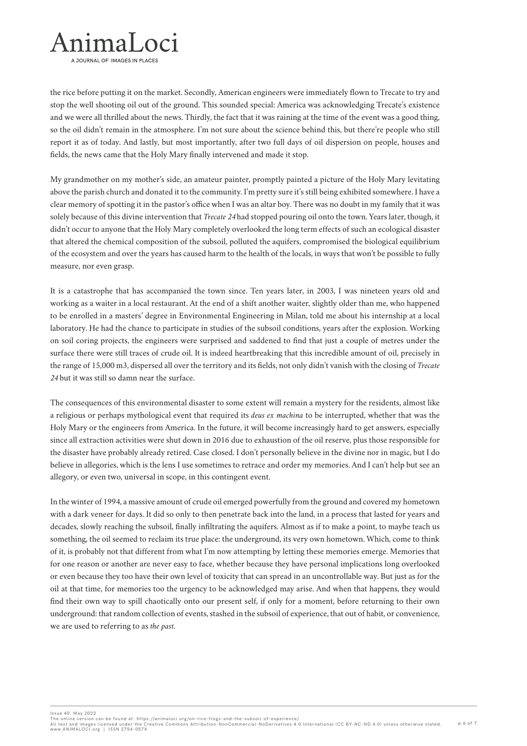

the rice before putting it on the market. Secondly, American engineers were immediately flown to Trecate to try and stop the well shooting oil out of the ground. This sounded special: America was acknowledging Trecate's existence and we were all thrilled about the news. Thirdly, the fact that it was raining at the time of the event was a good thing, so the oil didn't remain in the atmosphere. I'm not sure about the science behind this, but there're people who still report it as of today. And lastly, but most importantly, after two full days of oil dispersion on people, houses and fields, the news came that the Holy Mary finally intervened and made it stop.

My grandmother on my mother's side, an amateur painter, promptly painted a picture of the Holy Mary levitating above the parish church and donated it to the community. I'm pretty sure it's still being exhibited somewhere. I have a clear memory of spotting it in the pastor's office when I was an altar boy. There was no doubt in my family that it was solely because of this divine intervention that *Trecate 24* had stopped pouring oil onto the town. Years later, though, it didn't occur to anyone that the Holy Mary completely overlooked the long term effects of such an ecological disaster that altered the chemical composition of the subsoil, polluted the aquifers, compromised the biological equilibrium of the ecosystem and over the years has caused harm to the health of the locals, in ways that won't be possible to fully measure, nor even grasp.

It is a catastrophe that has accompanied the town since. Ten years later, in 2003, I was nineteen years old and working as a waiter in a local restaurant. At the end of a shift another waiter, slightly older than me, who happened to be enrolled in a masters' degree in Environmental Engineering in Milan, told me about his internship at a local laboratory. He had the chance to participate in studies of the subsoil conditions, years after the explosion. Working on soil coring projects, the engineers were surprised and saddened to find that just a couple of metres under the surface there were still traces of crude oil. It is indeed heartbreaking that this incredible amount of oil, precisely in the range of 15,000 m3, dispersed all over the territory and its fields, not only didn't vanish with the closing of *Trecate 24* but it was still so damn near the surface.

The consequences of this environmental disaster to some extent will remain a mystery for the residents, almost like a religious or perhaps mythological event that required its *deus ex machina* to be interrupted, whether that was the Holy Mary or the engineers from America. In the future, it will become increasingly hard to get answers, especially since all extraction activities were shut down in 2016 due to exhaustion of the oil reserve, plus those responsible for the disaster have probably already retired. Case closed. I don't personally believe in the divine nor in magic, but I do believe in allegories, which is the lens I use sometimes to retrace and order my memories. And I can't help but see an allegory, or even two, universal in scope, in this contingent event.

In the winter of 1994, a massive amount of crude oil emerged powerfully from the ground and covered my hometown with a dark veneer for days. It did so only to then penetrate back into the land, in a process that lasted for years and decades, slowly reaching the subsoil, finally infiltrating the aquifers. Almost as if to make a point, to maybe teach us something, the oil seemed to reclaim its true place: the underground, its very own hometown. Which, come to think of it, is probably not that different from what I'm now attempting by letting these memories emerge. Memories that for one reason or another are never easy to face, whether because they have personal implications long overlooked or even because they too have their own level of toxicity that can spread in an uncontrollable way. But just as for the oil at that time, for memories too the urgency to be acknowledged may arise. And when that happens, they would find their own way to spill chaotically onto our present self, if only for a moment, before returning to their own underground: that random collection of events, stashed in the subsoil of experience, that out of habit, or convenience, we are used to referring to as *the past.*

Issue 40, May 2022

The online version can be found at: https://animaloci.org/on-rice-frogs-and-the-subsoil-of-experience/<br>All text and images licensed under the Creative Commons Attribution-NonCommercial-NoDerivatives 4.0 International (CC B p.6 of 7